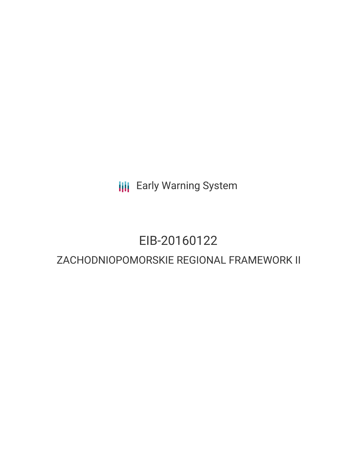**III** Early Warning System

# EIB-20160122

## ZACHODNIOPOMORSKIE REGIONAL FRAMEWORK II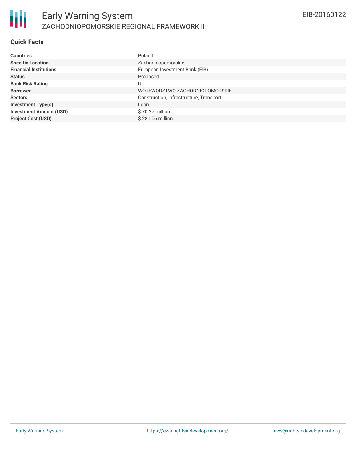#### **Quick Facts**

| <b>Countries</b>               | Poland                                  |
|--------------------------------|-----------------------------------------|
| <b>Specific Location</b>       | Zachodniopomorskie                      |
| <b>Financial Institutions</b>  | European Investment Bank (EIB)          |
| <b>Status</b>                  | Proposed                                |
| <b>Bank Risk Rating</b>        |                                         |
| <b>Borrower</b>                | WOJEWODZTWO ZACHODNIOPOMORSKIE          |
| <b>Sectors</b>                 | Construction, Infrastructure, Transport |
| <b>Investment Type(s)</b>      | Loan                                    |
| <b>Investment Amount (USD)</b> | \$70.27 million                         |
| <b>Project Cost (USD)</b>      | $$281.06$ million                       |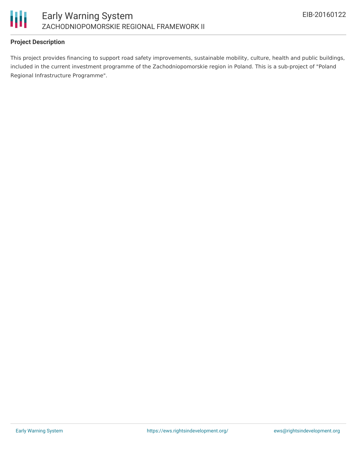

#### **Project Description**

This project provides financing to support road safety improvements, sustainable mobility, culture, health and public buildings, included in the current investment programme of the Zachodniopomorskie region in Poland. This is a sub-project of "Poland Regional Infrastructure Programme".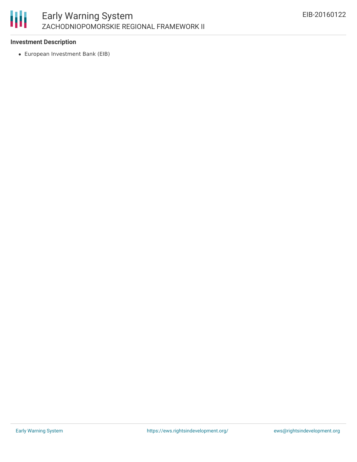

#### **Investment Description**

European Investment Bank (EIB)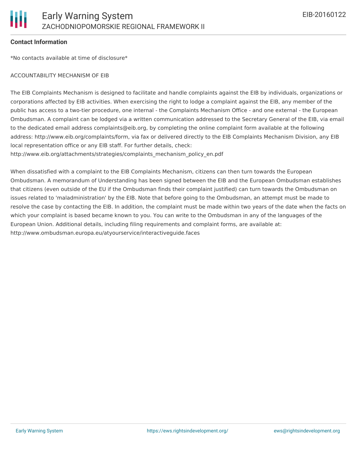#### **Contact Information**

\*No contacts available at time of disclosure\*

#### ACCOUNTABILITY MECHANISM OF EIB

The EIB Complaints Mechanism is designed to facilitate and handle complaints against the EIB by individuals, organizations or corporations affected by EIB activities. When exercising the right to lodge a complaint against the EIB, any member of the public has access to a two-tier procedure, one internal - the Complaints Mechanism Office - and one external - the European Ombudsman. A complaint can be lodged via a written communication addressed to the Secretary General of the EIB, via email to the dedicated email address complaints@eib.org, by completing the online complaint form available at the following address: http://www.eib.org/complaints/form, via fax or delivered directly to the EIB Complaints Mechanism Division, any EIB local representation office or any EIB staff. For further details, check:

http://www.eib.org/attachments/strategies/complaints\_mechanism\_policy\_en.pdf

When dissatisfied with a complaint to the EIB Complaints Mechanism, citizens can then turn towards the European Ombudsman. A memorandum of Understanding has been signed between the EIB and the European Ombudsman establishes that citizens (even outside of the EU if the Ombudsman finds their complaint justified) can turn towards the Ombudsman on issues related to 'maladministration' by the EIB. Note that before going to the Ombudsman, an attempt must be made to resolve the case by contacting the EIB. In addition, the complaint must be made within two years of the date when the facts on which your complaint is based became known to you. You can write to the Ombudsman in any of the languages of the European Union. Additional details, including filing requirements and complaint forms, are available at: http://www.ombudsman.europa.eu/atyourservice/interactiveguide.faces